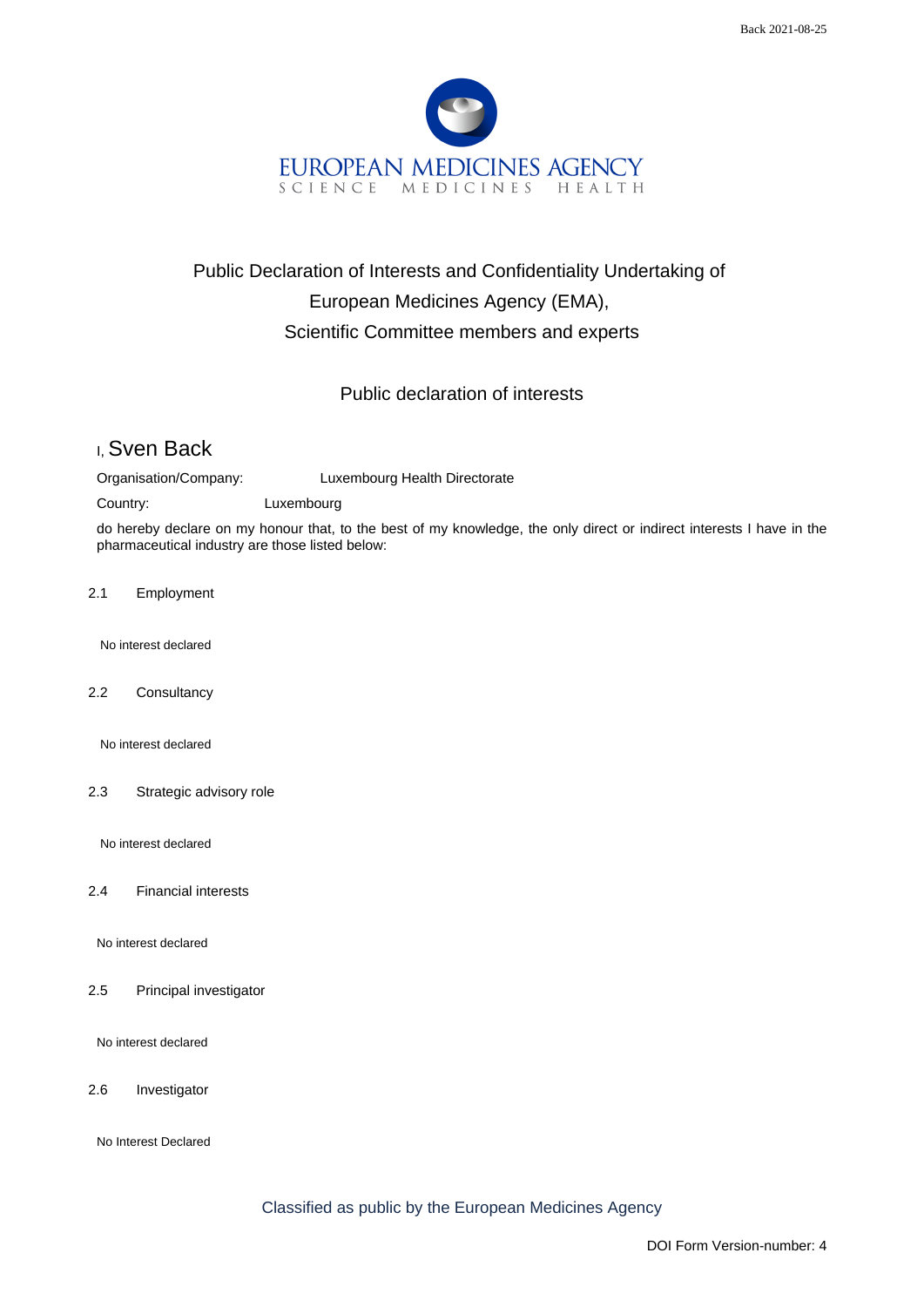

## Public Declaration of Interests and Confidentiality Undertaking of European Medicines Agency (EMA), Scientific Committee members and experts

## Public declaration of interests

## I, Sven Back

Organisation/Company: Luxembourg Health Directorate

Country: Luxembourg

do hereby declare on my honour that, to the best of my knowledge, the only direct or indirect interests I have in the pharmaceutical industry are those listed below:

2.1 Employment

No interest declared

2.2 Consultancy

No interest declared

2.3 Strategic advisory role

No interest declared

2.4 Financial interests

No interest declared

2.5 Principal investigator

No interest declared

2.6 Investigator

No Interest Declared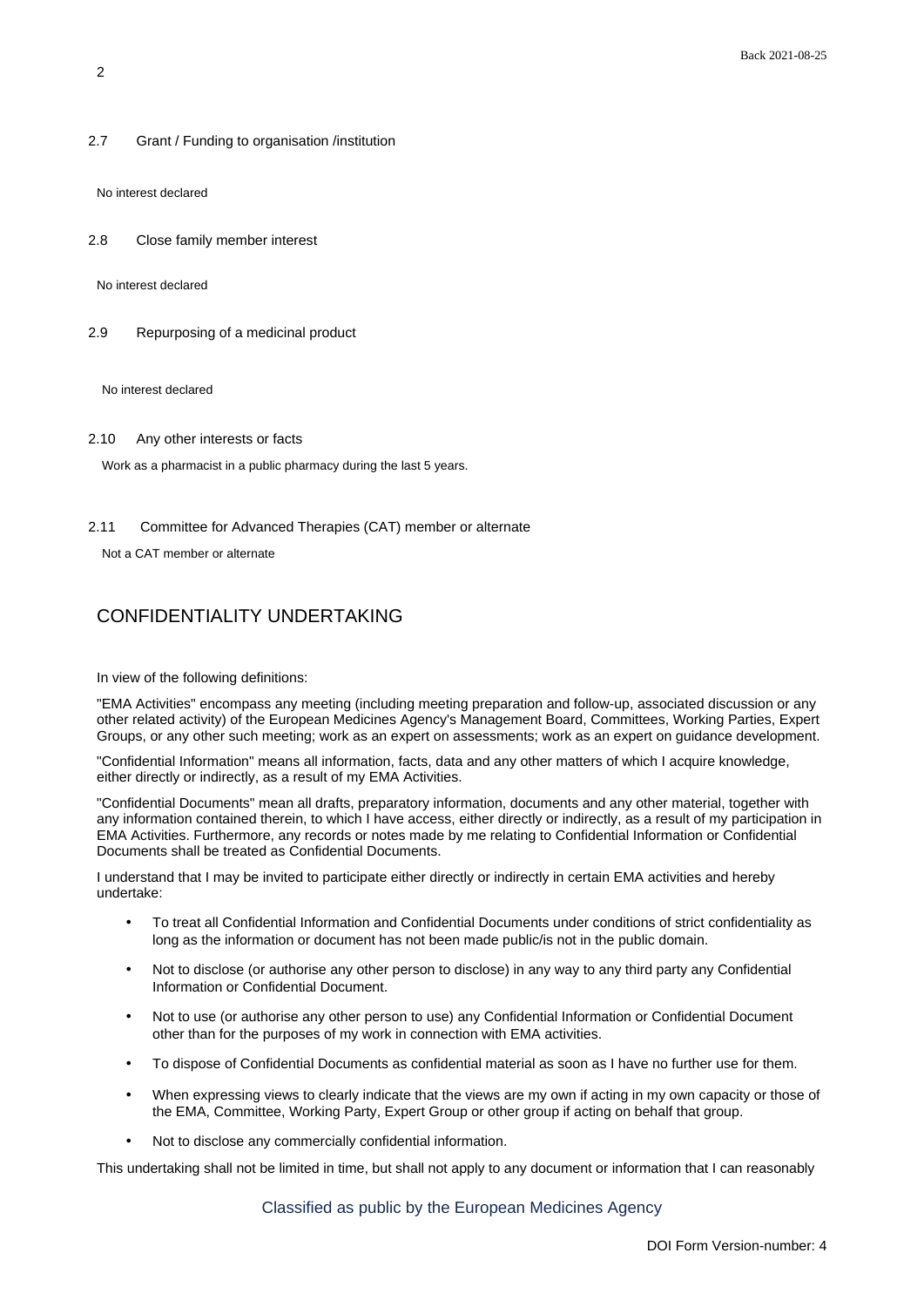2.7 Grant / Funding to organisation /institution

No interest declared

2.8 Close family member interest

No interest declared

2.9 Repurposing of a medicinal product

No interest declared

2.10 Any other interests or facts

Work as a pharmacist in a public pharmacy during the last 5 years.

2.11 Committee for Advanced Therapies (CAT) member or alternate

Not a CAT member or alternate

## CONFIDENTIALITY UNDERTAKING

In view of the following definitions:

"EMA Activities" encompass any meeting (including meeting preparation and follow-up, associated discussion or any other related activity) of the European Medicines Agency's Management Board, Committees, Working Parties, Expert Groups, or any other such meeting; work as an expert on assessments; work as an expert on guidance development.

"Confidential Information" means all information, facts, data and any other matters of which I acquire knowledge, either directly or indirectly, as a result of my EMA Activities.

"Confidential Documents" mean all drafts, preparatory information, documents and any other material, together with any information contained therein, to which I have access, either directly or indirectly, as a result of my participation in EMA Activities. Furthermore, any records or notes made by me relating to Confidential Information or Confidential Documents shall be treated as Confidential Documents.

I understand that I may be invited to participate either directly or indirectly in certain EMA activities and hereby undertake:

- To treat all Confidential Information and Confidential Documents under conditions of strict confidentiality as long as the information or document has not been made public/is not in the public domain.
- Not to disclose (or authorise any other person to disclose) in any way to any third party any Confidential Information or Confidential Document.
- Not to use (or authorise any other person to use) any Confidential Information or Confidential Document other than for the purposes of my work in connection with EMA activities.
- To dispose of Confidential Documents as confidential material as soon as I have no further use for them.
- When expressing views to clearly indicate that the views are my own if acting in my own capacity or those of the EMA, Committee, Working Party, Expert Group or other group if acting on behalf that group.
- Not to disclose any commercially confidential information.

This undertaking shall not be limited in time, but shall not apply to any document or information that I can reasonably

Classified as public by the European Medicines Agency